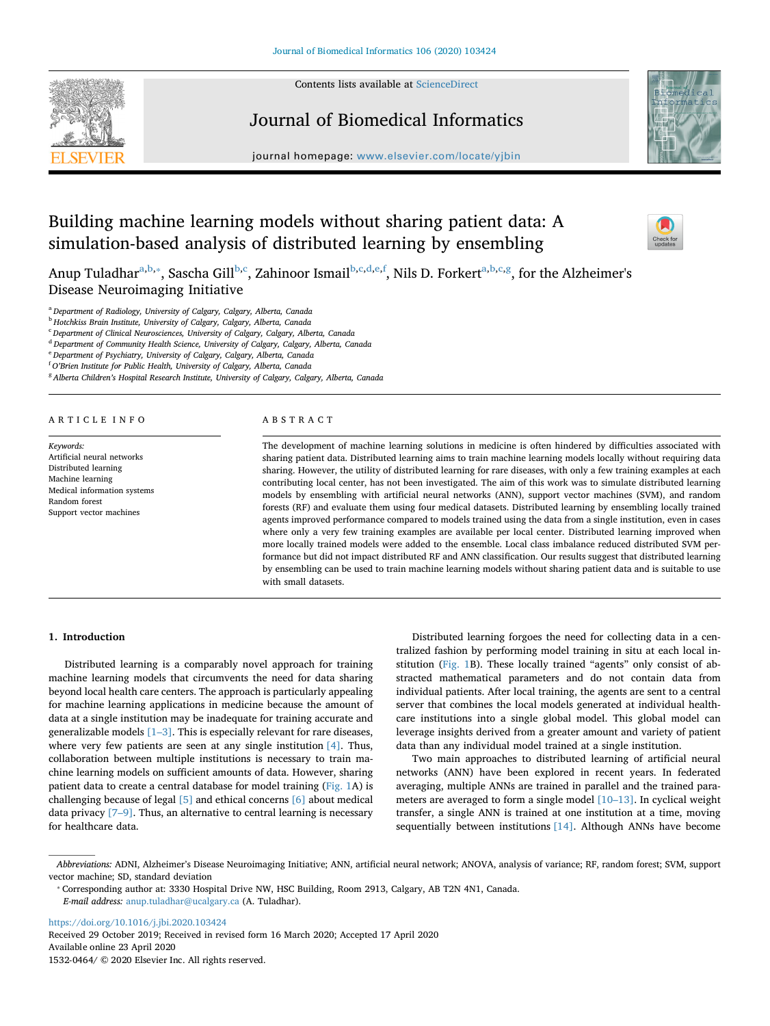Contents lists available at [ScienceDirect](http://www.sciencedirect.com/science/journal/15320464)



# Journal of Biomedical Informatics

journal homepage: [www.elsevier.com/locate/yjbin](https://www.elsevier.com/locate/yjbin)



# Building machine learning models without sharing patient data: A simulation-based analysis of distributed learning by ensembling



Anup Tuladhar<sup>[a,](#page-0-0)[b](#page-0-1),</sup>\*, Sas[c](#page-0-3)ha Gill<sup>b,c</sup>, Zahinoor Ismail<sup>b,c[,d,](#page-0-4)[e](#page-0-5)[,f](#page-0-6)</sup>, Nils D. Forkert<sup>a,b,c[,g](#page-0-7)</sup>, for the Alzheimer's Disease Neuroimaging Initiative

<span id="page-0-0"></span><sup>a</sup> *Department of Radiology, University of Calgary, Calgary, Alberta, Canada*

<span id="page-0-1"></span><sup>b</sup> *Hotchkiss Brain Institute, University of Calgary, Calgary, Alberta, Canada*

<span id="page-0-3"></span><sup>c</sup> *Department of Clinical Neurosciences, University of Calgary, Calgary, Alberta, Canada*

<span id="page-0-4"></span><sup>d</sup> *Department of Community Health Science, University of Calgary, Calgary, Alberta, Canada*

<span id="page-0-5"></span><sup>e</sup> *Department of Psychiatry, University of Calgary, Calgary, Alberta, Canada*

<span id="page-0-6"></span>f *O'Brien Institute for Public Health, University of Calgary, Alberta, Canada*

<span id="page-0-7"></span><sup>g</sup> *Alberta Children's Hospital Research Institute, University of Calgary, Calgary, Alberta, Canada*

## ARTICLE INFO

*Keywords:* Artificial neural networks Distributed learning Machine learning Medical information systems Random forest Support vector machines

## ABSTRACT

The development of machine learning solutions in medicine is often hindered by difficulties associated with sharing patient data. Distributed learning aims to train machine learning models locally without requiring data sharing. However, the utility of distributed learning for rare diseases, with only a few training examples at each contributing local center, has not been investigated. The aim of this work was to simulate distributed learning models by ensembling with artificial neural networks (ANN), support vector machines (SVM), and random forests (RF) and evaluate them using four medical datasets. Distributed learning by ensembling locally trained agents improved performance compared to models trained using the data from a single institution, even in cases where only a very few training examples are available per local center. Distributed learning improved when more locally trained models were added to the ensemble. Local class imbalance reduced distributed SVM performance but did not impact distributed RF and ANN classification. Our results suggest that distributed learning by ensembling can be used to train machine learning models without sharing patient data and is suitable to use with small datasets.

# **1. Introduction**

Distributed learning is a comparably novel approach for training machine learning models that circumvents the need for data sharing beyond local health care centers. The approach is particularly appealing for machine learning applications in medicine because the amount of data at a single institution may be inadequate for training accurate and generalizable models  $[1-3]$ . This is especially relevant for rare diseases, where very few patients are seen at any single institution  $[4]$ . Thus, collaboration between multiple institutions is necessary to train machine learning models on sufficient amounts of data. However, sharing patient data to create a central database for model training [\(Fig. 1](#page-1-0)A) is challenging because of legal [\[5\]](#page-8-2) and ethical concerns [\[6\]](#page-8-3) about medical data privacy [\[7–9\]](#page-8-4). Thus, an alternative to central learning is necessary for healthcare data.

Distributed learning forgoes the need for collecting data in a centralized fashion by performing model training in situ at each local institution ([Fig. 1B](#page-1-0)). These locally trained "agents" only consist of abstracted mathematical parameters and do not contain data from individual patients. After local training, the agents are sent to a central server that combines the local models generated at individual healthcare institutions into a single global model. This global model can leverage insights derived from a greater amount and variety of patient data than any individual model trained at a single institution.

Two main approaches to distributed learning of artificial neural networks (ANN) have been explored in recent years. In federated averaging, multiple ANNs are trained in parallel and the trained parameters are averaged to form a single model [\[10–13\].](#page-8-5) In cyclical weight transfer, a single ANN is trained at one institution at a time, moving sequentially between institutions [\[14\].](#page-8-6) Although ANNs have become

<https://doi.org/10.1016/j.jbi.2020.103424>

Received 29 October 2019; Received in revised form 16 March 2020; Accepted 17 April 2020 Available online 23 April 2020 1532-0464/ © 2020 Elsevier Inc. All rights reserved.

*Abbreviations:* ADNI, Alzheimer's Disease Neuroimaging Initiative; ANN, artificial neural network; ANOVA, analysis of variance; RF, random forest; SVM, support vector machine; SD, standard deviation

<span id="page-0-2"></span><sup>⁎</sup> Corresponding author at: 3330 Hospital Drive NW, HSC Building, Room 2913, Calgary, AB T2N 4N1, Canada. *E-mail address:* [anup.tuladhar@ucalgary.ca](mailto:anup.tuladhar@ucalgary.ca) (A. Tuladhar).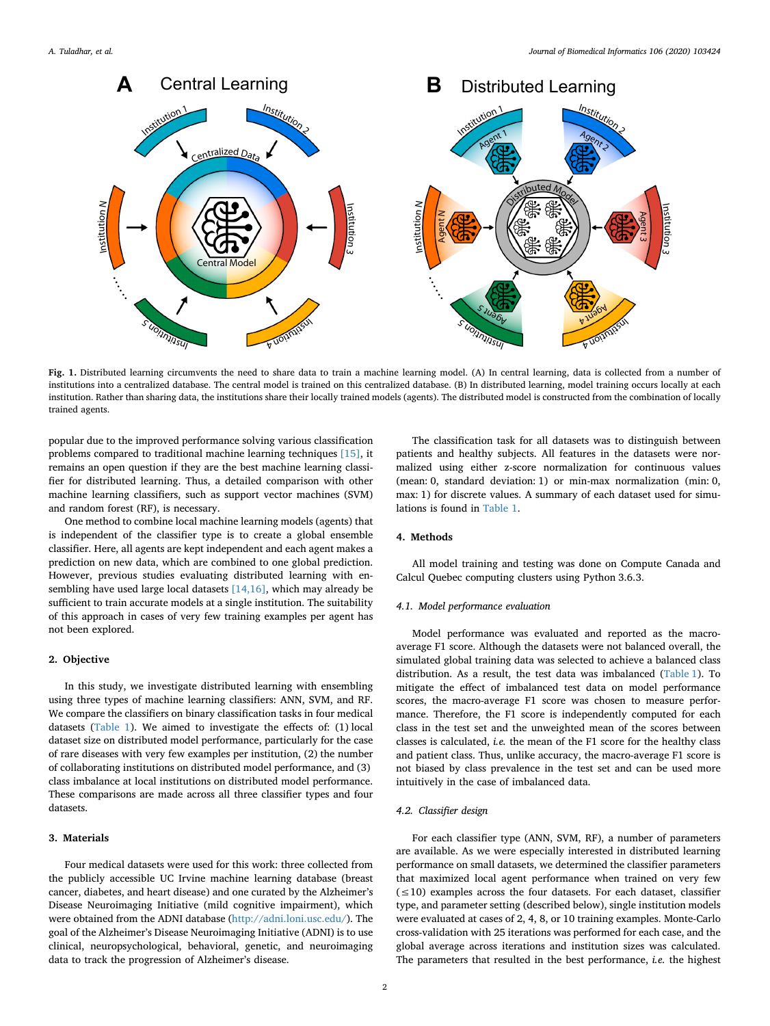<span id="page-1-0"></span>

**Fig. 1.** Distributed learning circumvents the need to share data to train a machine learning model. (A) In central learning, data is collected from a number of institutions into a centralized database. The central model is trained on this centralized database. (B) In distributed learning, model training occurs locally at each institution. Rather than sharing data, the institutions share their locally trained models (agents). The distributed model is constructed from the combination of locally trained agents.

popular due to the improved performance solving various classification problems compared to traditional machine learning techniques [\[15\],](#page-8-7) it remains an open question if they are the best machine learning classifier for distributed learning. Thus, a detailed comparison with other machine learning classifiers, such as support vector machines (SVM) and random forest (RF), is necessary.

One method to combine local machine learning models (agents) that is independent of the classifier type is to create a global ensemble classifier. Here, all agents are kept independent and each agent makes a prediction on new data, which are combined to one global prediction. However, previous studies evaluating distributed learning with ensembling have used large local datasets [\[14,16\],](#page-8-6) which may already be sufficient to train accurate models at a single institution. The suitability of this approach in cases of very few training examples per agent has not been explored.

### **2. Objective**

In this study, we investigate distributed learning with ensembling using three types of machine learning classifiers: ANN, SVM, and RF. We compare the classifiers on binary classification tasks in four medical datasets ([Table 1\)](#page-2-0). We aimed to investigate the effects of: (1) local dataset size on distributed model performance, particularly for the case of rare diseases with very few examples per institution, (2) the number of collaborating institutions on distributed model performance, and (3) class imbalance at local institutions on distributed model performance. These comparisons are made across all three classifier types and four datasets.

## **3. Materials**

Four medical datasets were used for this work: three collected from the publicly accessible UC Irvine machine learning database (breast cancer, diabetes, and heart disease) and one curated by the Alzheimer's Disease Neuroimaging Initiative (mild cognitive impairment), which were obtained from the ADNI database [\(http://adni.loni.usc.edu/](http://adni.loni.usc.edu/)). The goal of the Alzheimer's Disease Neuroimaging Initiative (ADNI) is to use clinical, neuropsychological, behavioral, genetic, and neuroimaging data to track the progression of Alzheimer's disease.

The classification task for all datasets was to distinguish between patients and healthy subjects. All features in the datasets were normalized using either z-score normalization for continuous values (mean: 0, standard deviation: 1) or min-max normalization (min: 0, max: 1) for discrete values. A summary of each dataset used for simulations is found in [Table 1](#page-2-0).

# **4. Methods**

All model training and testing was done on Compute Canada and Calcul Quebec computing clusters using Python 3.6.3.

# *4.1. Model performance evaluation*

Model performance was evaluated and reported as the macroaverage F1 score. Although the datasets were not balanced overall, the simulated global training data was selected to achieve a balanced class distribution. As a result, the test data was imbalanced ([Table 1\)](#page-2-0). To mitigate the effect of imbalanced test data on model performance scores, the macro-average F1 score was chosen to measure performance. Therefore, the F1 score is independently computed for each class in the test set and the unweighted mean of the scores between classes is calculated, *i.e.* the mean of the F1 score for the healthy class and patient class. Thus, unlike accuracy, the macro-average F1 score is not biased by class prevalence in the test set and can be used more intuitively in the case of imbalanced data.

# *4.2. Classifier design*

For each classifier type (ANN, SVM, RF), a number of parameters are available. As we were especially interested in distributed learning performance on small datasets, we determined the classifier parameters that maximized local agent performance when trained on very few  $( \leq 10)$  examples across the four datasets. For each dataset, classifier type, and parameter setting (described below), single institution models were evaluated at cases of 2, 4, 8, or 10 training examples. Monte-Carlo cross-validation with 25 iterations was performed for each case, and the global average across iterations and institution sizes was calculated. The parameters that resulted in the best performance, *i.e.* the highest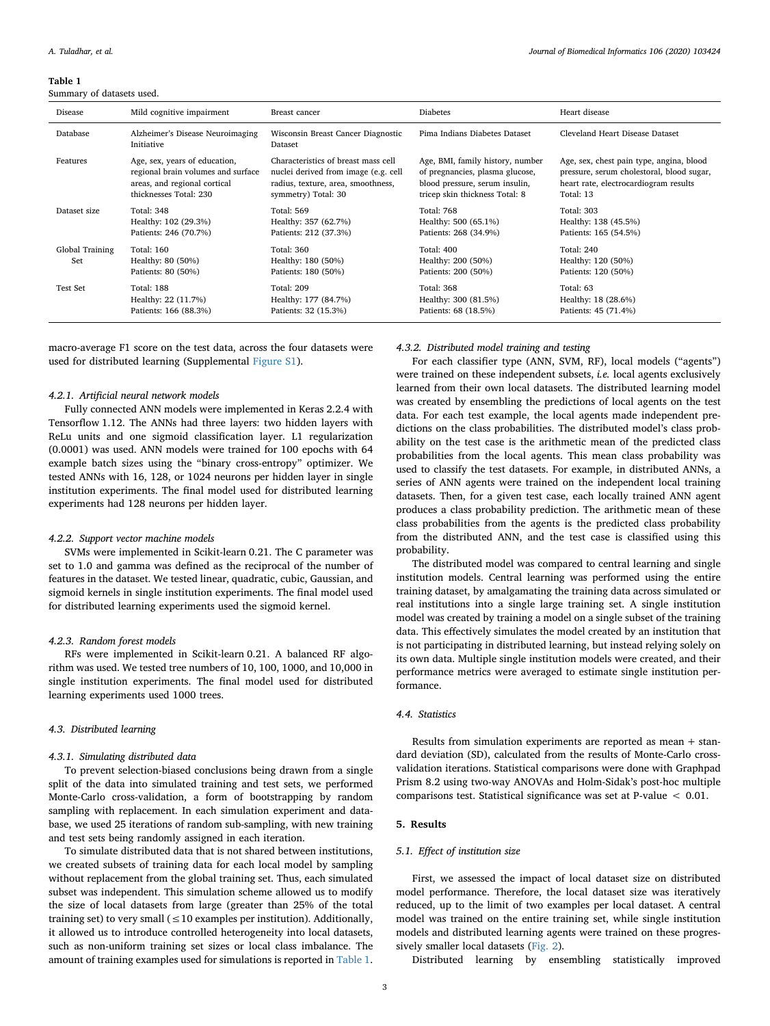#### <span id="page-2-0"></span>**Table 1**

Summary of datasets used.

| Disease                | Mild cognitive impairment                                    | Breast cancer                                                  | <b>Diabetes</b>                                                | Heart disease                                                  |
|------------------------|--------------------------------------------------------------|----------------------------------------------------------------|----------------------------------------------------------------|----------------------------------------------------------------|
| Database               | Alzheimer's Disease Neuroimaging<br>Initiative               | Wisconsin Breast Cancer Diagnostic<br>Dataset                  | Pima Indians Diabetes Dataset                                  | Cleveland Heart Disease Dataset                                |
| Features               | Age, sex, years of education,                                | Characteristics of breast mass cell                            | Age, BMI, family history, number                               | Age, sex, chest pain type, angina, blood                       |
|                        | regional brain volumes and surface                           | nuclei derived from image (e.g. cell                           | of pregnancies, plasma glucose,                                | pressure, serum cholestoral, blood sugar,                      |
|                        | areas, and regional cortical                                 | radius, texture, area, smoothness,                             | blood pressure, serum insulin,                                 | heart rate, electrocardiogram results                          |
|                        | thicknesses Total: 230                                       | symmetry) Total: 30                                            | tricep skin thickness Total: 8                                 | Total: 13                                                      |
| Dataset size           | Total: 348                                                   | <b>Total: 569</b>                                              | <b>Total: 768</b>                                              | <b>Total: 303</b>                                              |
|                        | Healthy: 102 (29.3%)                                         | Healthy: 357 (62.7%)                                           | Healthy: 500 (65.1%)                                           | Healthy: 138 (45.5%)                                           |
|                        | Patients: 246 (70.7%)                                        | Patients: 212 (37.3%)                                          | Patients: 268 (34.9%)                                          | Patients: 165 (54.5%)                                          |
| Global Training<br>Set | <b>Total: 160</b><br>Healthy: 80 (50%)<br>Patients: 80 (50%) | <b>Total: 360</b><br>Healthy: 180 (50%)<br>Patients: 180 (50%) | <b>Total: 400</b><br>Healthy: 200 (50%)<br>Patients: 200 (50%) | <b>Total: 240</b><br>Healthy: 120 (50%)<br>Patients: 120 (50%) |
| <b>Test Set</b>        | Total: 188                                                   | Total: 209                                                     | <b>Total: 368</b>                                              | Total: 63                                                      |
|                        | Healthy: 22 (11.7%)                                          | Healthy: 177 (84.7%)                                           | Healthy: 300 (81.5%)                                           | Healthy: 18 (28.6%)                                            |
|                        | Patients: 166 (88.3%)                                        | Patients: 32 (15.3%)                                           | Patients: 68 (18.5%)                                           | Patients: 45 (71.4%)                                           |

macro-average F1 score on the test data, across the four datasets were used for distributed learning (Supplemental Figure S1).

#### *4.2.1. Artificial neural network models*

Fully connected ANN models were implemented in Keras 2.2.4 with Tensorflow 1.12. The ANNs had three layers: two hidden layers with ReLu units and one sigmoid classification layer. L1 regularization (0.0001) was used. ANN models were trained for 100 epochs with 64 example batch sizes using the "binary cross-entropy" optimizer. We tested ANNs with 16, 128, or 1024 neurons per hidden layer in single institution experiments. The final model used for distributed learning experiments had 128 neurons per hidden layer.

### *4.2.2. Support vector machine models*

SVMs were implemented in Scikit-learn 0.21. The C parameter was set to 1.0 and gamma was defined as the reciprocal of the number of features in the dataset. We tested linear, quadratic, cubic, Gaussian, and sigmoid kernels in single institution experiments. The final model used for distributed learning experiments used the sigmoid kernel.

### *4.2.3. Random forest models*

RFs were implemented in Scikit-learn 0.21. A balanced RF algorithm was used. We tested tree numbers of 10, 100, 1000, and 10,000 in single institution experiments. The final model used for distributed learning experiments used 1000 trees.

#### *4.3. Distributed learning*

### *4.3.1. Simulating distributed data*

To prevent selection-biased conclusions being drawn from a single split of the data into simulated training and test sets, we performed Monte-Carlo cross-validation, a form of bootstrapping by random sampling with replacement. In each simulation experiment and database, we used 25 iterations of random sub-sampling, with new training and test sets being randomly assigned in each iteration.

To simulate distributed data that is not shared between institutions, we created subsets of training data for each local model by sampling without replacement from the global training set. Thus, each simulated subset was independent. This simulation scheme allowed us to modify the size of local datasets from large (greater than 25% of the total training set) to very small  $(\leq 10$  examples per institution). Additionally, it allowed us to introduce controlled heterogeneity into local datasets, such as non-uniform training set sizes or local class imbalance. The amount of training examples used for simulations is reported in [Table 1](#page-2-0).

### *4.3.2. Distributed model training and testing*

For each classifier type (ANN, SVM, RF), local models ("agents") were trained on these independent subsets, *i.e.* local agents exclusively learned from their own local datasets. The distributed learning model was created by ensembling the predictions of local agents on the test data. For each test example, the local agents made independent predictions on the class probabilities. The distributed model's class probability on the test case is the arithmetic mean of the predicted class probabilities from the local agents. This mean class probability was used to classify the test datasets. For example, in distributed ANNs, a series of ANN agents were trained on the independent local training datasets. Then, for a given test case, each locally trained ANN agent produces a class probability prediction. The arithmetic mean of these class probabilities from the agents is the predicted class probability from the distributed ANN, and the test case is classified using this probability.

The distributed model was compared to central learning and single institution models. Central learning was performed using the entire training dataset, by amalgamating the training data across simulated or real institutions into a single large training set. A single institution model was created by training a model on a single subset of the training data. This effectively simulates the model created by an institution that is not participating in distributed learning, but instead relying solely on its own data. Multiple single institution models were created, and their performance metrics were averaged to estimate single institution performance.

# *4.4. Statistics*

Results from simulation experiments are reported as mean + standard deviation (SD), calculated from the results of Monte-Carlo crossvalidation iterations. Statistical comparisons were done with Graphpad Prism 8.2 using two-way ANOVAs and Holm-Sidak's post-hoc multiple comparisons test. Statistical significance was set at P-value < 0.01.

# **5. Results**

# *5.1. Effect of institution size*

First, we assessed the impact of local dataset size on distributed model performance. Therefore, the local dataset size was iteratively reduced, up to the limit of two examples per local dataset. A central model was trained on the entire training set, while single institution models and distributed learning agents were trained on these progressively smaller local datasets [\(Fig. 2\)](#page-3-0).

Distributed learning by ensembling statistically improved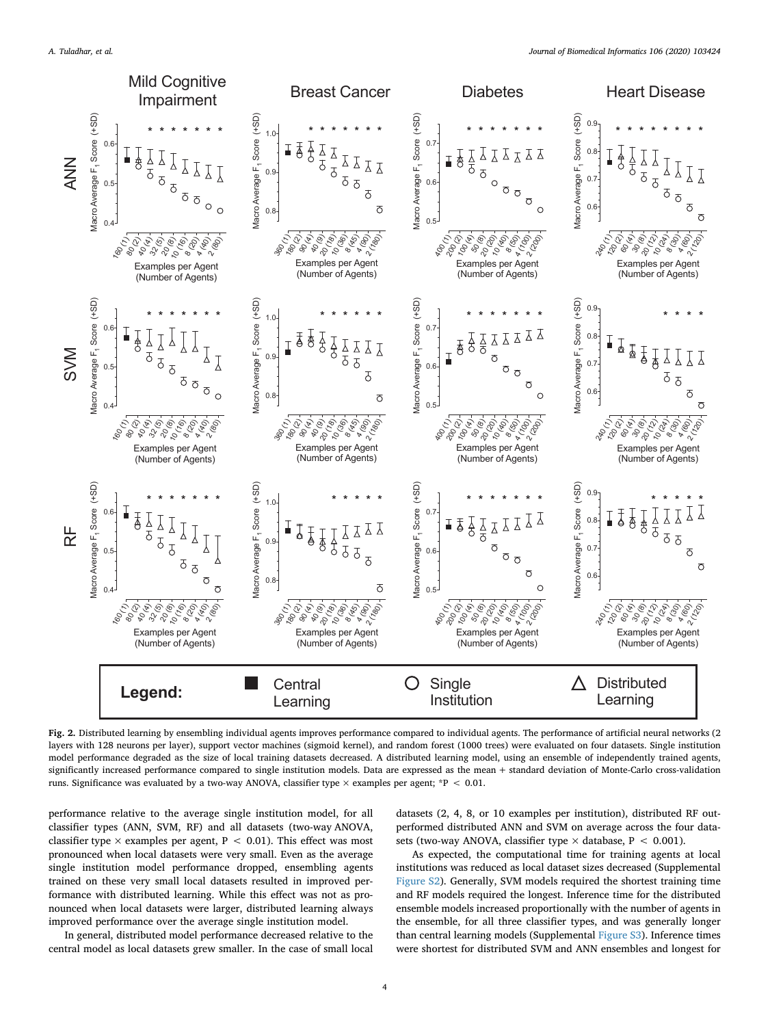<span id="page-3-0"></span>

**Fig. 2.** Distributed learning by ensembling individual agents improves performance compared to individual agents. The performance of artificial neural networks (2 layers with 128 neurons per layer), support vector machines (sigmoid kernel), and random forest (1000 trees) were evaluated on four datasets. Single institution model performance degraded as the size of local training datasets decreased. A distributed learning model, using an ensemble of independently trained agents, significantly increased performance compared to single institution models. Data are expressed as the mean + standard deviation of Monte-Carlo cross-validation runs. Significance was evaluated by a two-way ANOVA, classifier type  $\times$  examples per agent; \*P  $\lt$  0.01.

performance relative to the average single institution model, for all classifier types (ANN, SVM, RF) and all datasets (two-way ANOVA, classifier type  $\times$  examples per agent, P  $\lt$  0.01). This effect was most pronounced when local datasets were very small. Even as the average single institution model performance dropped, ensembling agents trained on these very small local datasets resulted in improved performance with distributed learning. While this effect was not as pronounced when local datasets were larger, distributed learning always improved performance over the average single institution model.

In general, distributed model performance decreased relative to the central model as local datasets grew smaller. In the case of small local

datasets (2, 4, 8, or 10 examples per institution), distributed RF outperformed distributed ANN and SVM on average across the four datasets (two-way ANOVA, classifier type  $\times$  database,  $P < 0.001$ ).

As expected, the computational time for training agents at local institutions was reduced as local dataset sizes decreased (Supplemental Figure S2). Generally, SVM models required the shortest training time and RF models required the longest. Inference time for the distributed ensemble models increased proportionally with the number of agents in the ensemble, for all three classifier types, and was generally longer than central learning models (Supplemental Figure S3). Inference times were shortest for distributed SVM and ANN ensembles and longest for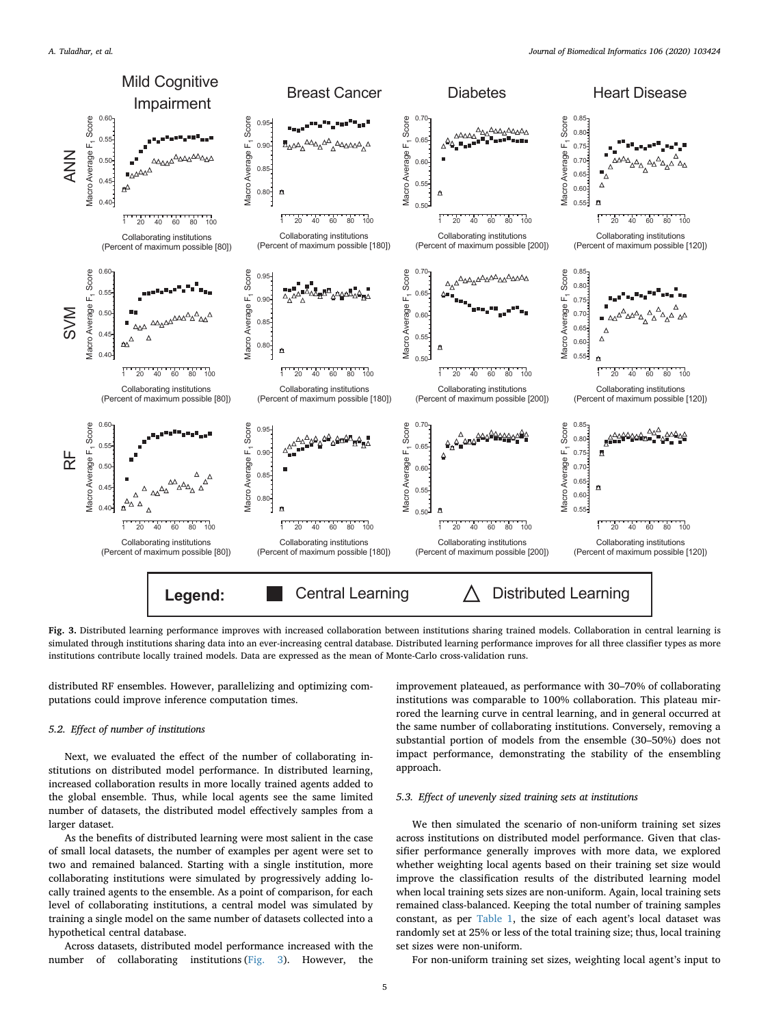<span id="page-4-0"></span>

**Fig. 3.** Distributed learning performance improves with increased collaboration between institutions sharing trained models. Collaboration in central learning is simulated through institutions sharing data into an ever-increasing central database. Distributed learning performance improves for all three classifier types as more institutions contribute locally trained models. Data are expressed as the mean of Monte-Carlo cross-validation runs.

distributed RF ensembles. However, parallelizing and optimizing computations could improve inference computation times.

### *5.2. Effect of number of institutions*

Next, we evaluated the effect of the number of collaborating institutions on distributed model performance. In distributed learning, increased collaboration results in more locally trained agents added to the global ensemble. Thus, while local agents see the same limited number of datasets, the distributed model effectively samples from a larger dataset.

As the benefits of distributed learning were most salient in the case of small local datasets, the number of examples per agent were set to two and remained balanced. Starting with a single institution, more collaborating institutions were simulated by progressively adding locally trained agents to the ensemble. As a point of comparison, for each level of collaborating institutions, a central model was simulated by training a single model on the same number of datasets collected into a hypothetical central database.

Across datasets, distributed model performance increased with the number of collaborating institutions ([Fig. 3](#page-4-0)). However, the improvement plateaued, as performance with 30–70% of collaborating institutions was comparable to 100% collaboration. This plateau mirrored the learning curve in central learning, and in general occurred at the same number of collaborating institutions. Conversely, removing a substantial portion of models from the ensemble (30–50%) does not impact performance, demonstrating the stability of the ensembling approach.

### *5.3. Effect of unevenly sized training sets at institutions*

We then simulated the scenario of non-uniform training set sizes across institutions on distributed model performance. Given that classifier performance generally improves with more data, we explored whether weighting local agents based on their training set size would improve the classification results of the distributed learning model when local training sets sizes are non-uniform. Again, local training sets remained class-balanced. Keeping the total number of training samples constant, as per [Table 1,](#page-2-0) the size of each agent's local dataset was randomly set at 25% or less of the total training size; thus, local training set sizes were non-uniform.

For non-uniform training set sizes, weighting local agent's input to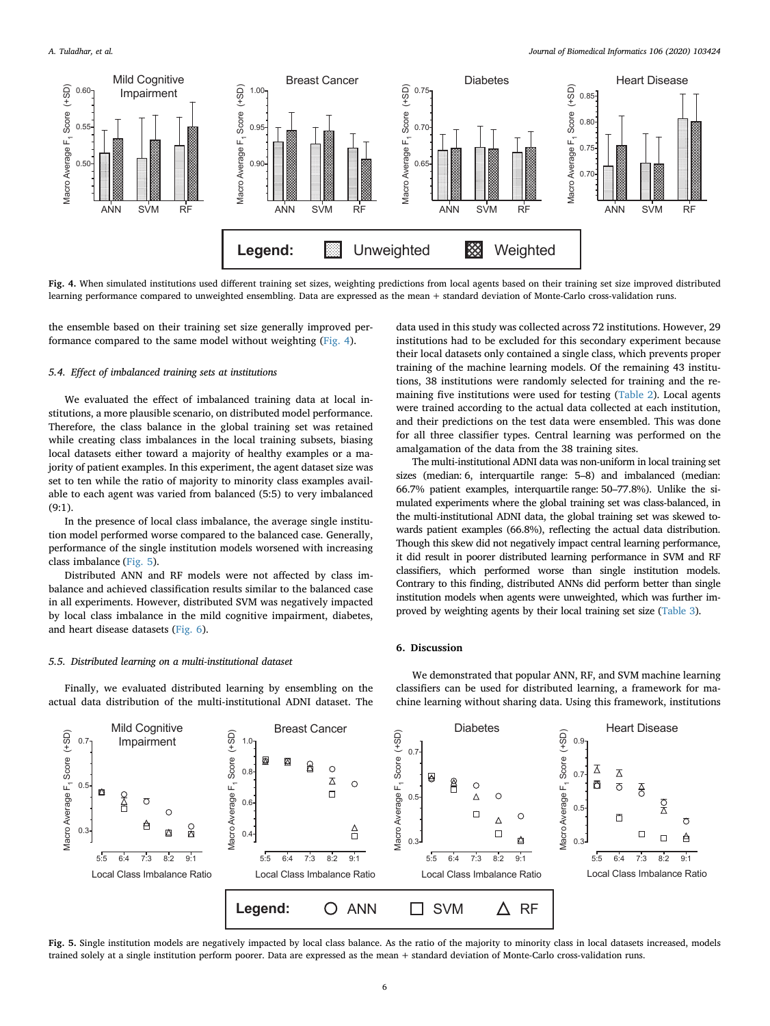<span id="page-5-0"></span>

**Fig. 4.** When simulated institutions used different training set sizes, weighting predictions from local agents based on their training set size improved distributed learning performance compared to unweighted ensembling. Data are expressed as the mean + standard deviation of Monte-Carlo cross-validation runs.

the ensemble based on their training set size generally improved performance compared to the same model without weighting [\(Fig. 4\)](#page-5-0).

# *5.4. Effect of imbalanced training sets at institutions*

We evaluated the effect of imbalanced training data at local institutions, a more plausible scenario, on distributed model performance. Therefore, the class balance in the global training set was retained while creating class imbalances in the local training subsets, biasing local datasets either toward a majority of healthy examples or a majority of patient examples. In this experiment, the agent dataset size was set to ten while the ratio of majority to minority class examples available to each agent was varied from balanced (5:5) to very imbalanced (9:1).

In the presence of local class imbalance, the average single institution model performed worse compared to the balanced case. Generally, performance of the single institution models worsened with increasing class imbalance ([Fig. 5](#page-5-1)).

Distributed ANN and RF models were not affected by class imbalance and achieved classification results similar to the balanced case in all experiments. However, distributed SVM was negatively impacted by local class imbalance in the mild cognitive impairment, diabetes, and heart disease datasets [\(Fig. 6](#page-6-0)).

#### *5.5. Distributed learning on a multi-institutional dataset*

Finally, we evaluated distributed learning by ensembling on the actual data distribution of the multi-institutional ADNI dataset. The **6. Discussion** We demonstrated that popular ANN, RF, and SVM machine learning classifiers can be used for distributed learning, a framework for ma-

data used in this study was collected across 72 institutions. However, 29 institutions had to be excluded for this secondary experiment because their local datasets only contained a single class, which prevents proper training of the machine learning models. Of the remaining 43 institutions, 38 institutions were randomly selected for training and the remaining five institutions were used for testing [\(Table 2](#page-6-1)). Local agents were trained according to the actual data collected at each institution, and their predictions on the test data were ensembled. This was done for all three classifier types. Central learning was performed on the

The multi-institutional ADNI data was non-uniform in local training set sizes (median: 6, interquartile range: 5–8) and imbalanced (median: 66.7% patient examples, interquartile range: 50–77.8%). Unlike the simulated experiments where the global training set was class-balanced, in the multi-institutional ADNI data, the global training set was skewed towards patient examples (66.8%), reflecting the actual data distribution. Though this skew did not negatively impact central learning performance, it did result in poorer distributed learning performance in SVM and RF classifiers, which performed worse than single institution models. Contrary to this finding, distributed ANNs did perform better than single institution models when agents were unweighted, which was further improved by weighting agents by their local training set size [\(Table 3\)](#page-6-2).

amalgamation of the data from the 38 training sites.

<span id="page-5-1"></span>

**Fig. 5.** Single institution models are negatively impacted by local class balance. As the ratio of the majority to minority class in local datasets increased, models trained solely at a single institution perform poorer. Data are expressed as the mean + standard deviation of Monte-Carlo cross-validation runs.

chine learning without sharing data. Using this framework, institutions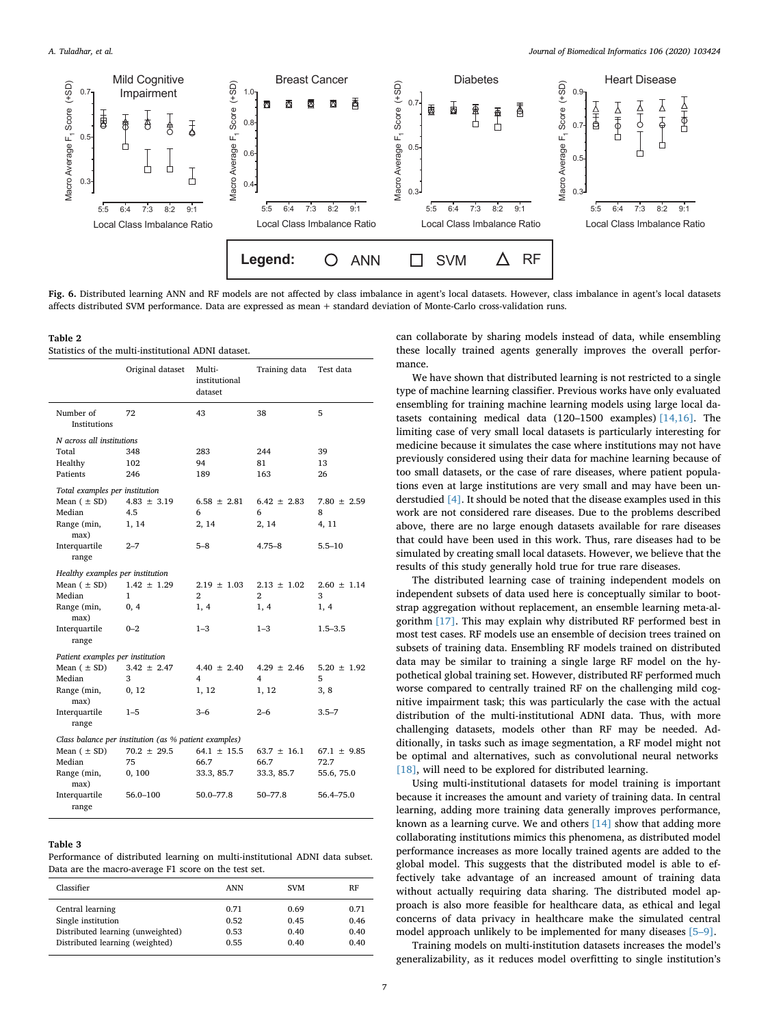<span id="page-6-0"></span>

Fig. 6. Distributed learning ANN and RF models are not affected by class imbalance in agent's local chases imbalance in agent's local datasets affects distributed SVM performance. Data are expressed as mean + standard deviation of Monte-Carlo cross-validation runs.

### <span id="page-6-1"></span>**Table 2** Statistics of the multi-institutional ADNI dataset.

| 5:5                              | 6:4<br>7:3<br>8:2                                                                                                                    | 9:1                                | b:b<br>6:4<br>- 73          | 8.Z             | 9:1        |        | b:b<br>6:4<br>- 73          | 8.Z | -9:1      | b:b<br>6:4<br>7:3<br>8.Z<br>9:1                                                                                                                                                                                                  |
|----------------------------------|--------------------------------------------------------------------------------------------------------------------------------------|------------------------------------|-----------------------------|-----------------|------------|--------|-----------------------------|-----|-----------|----------------------------------------------------------------------------------------------------------------------------------------------------------------------------------------------------------------------------------|
|                                  | Local Class Imbalance Ratio                                                                                                          |                                    | Local Class Imbalance Ratio |                 |            |        | Local Class Imbalance Ratio |     |           | Local Class Imbalance Ratio                                                                                                                                                                                                      |
|                                  |                                                                                                                                      |                                    | Legend:                     | ( )             | <b>ANN</b> |        | <b>SVM</b>                  | Δ   | <b>RF</b> |                                                                                                                                                                                                                                  |
|                                  |                                                                                                                                      |                                    |                             |                 |            |        |                             |     |           |                                                                                                                                                                                                                                  |
|                                  | affects distributed SVM performance. Data are expressed as mean + standard deviation of Monte-Carlo cross-validation runs.           |                                    |                             |                 |            |        |                             |     |           | ig. 6. Distributed learning ANN and RF models are not affected by class imbalance in agent's local datasets. However, class imbalance in agent's local datasets                                                                  |
| <b>Table 2</b>                   | Statistics of the multi-institutional ADNI dataset.                                                                                  |                                    |                             |                 |            |        |                             |     |           | can collaborate by sharing models instead of data, while ensembling<br>these locally trained agents generally improves the overall perfor-                                                                                       |
|                                  | Original dataset                                                                                                                     | Multi-<br>institutional<br>dataset | Training data               | Test data       |            | mance. |                             |     |           | We have shown that distributed learning is not restricted to a single<br>type of machine learning classifier. Previous works have only evaluated                                                                                 |
| Number of<br>Institutions        | 72                                                                                                                                   | 43                                 | 38                          | 5               |            |        |                             |     |           | ensembling for training machine learning models using large local da-<br>tasets containing medical data $(120-1500 \text{ examples})$ [14,16]. The<br>limiting case of very small local datasets is particularly interesting for |
| N across all institutions        |                                                                                                                                      |                                    |                             |                 |            |        |                             |     |           | medicine because it simulates the case where institutions may not have                                                                                                                                                           |
| Total                            | 348                                                                                                                                  | 283                                | 244                         | 39              |            |        |                             |     |           | previously considered using their data for machine learning because of                                                                                                                                                           |
| Healthy<br>Patients              | 102<br>246                                                                                                                           | 94<br>189                          | 81<br>163                   | 13<br>26        |            |        |                             |     |           | too small datasets, or the case of rare diseases, where patient popula-                                                                                                                                                          |
| Total examples per institution   |                                                                                                                                      |                                    |                             |                 |            |        |                             |     |           | tions even at large institutions are very small and may have been un-                                                                                                                                                            |
| Mean $( \pm SD)$                 | $4.83 \pm 3.19$                                                                                                                      | $6.58 \pm 2.81$                    | $6.42 \pm 2.83$             | $7.80 \pm 2.59$ |            |        |                             |     |           | derstudied $[4]$ . It should be noted that the disease examples used in this                                                                                                                                                     |
| Median                           | 4.5                                                                                                                                  | 6                                  | 6                           | 8               |            |        |                             |     |           | work are not considered rare diseases. Due to the problems described                                                                                                                                                             |
| Range (min,<br>max)              | 1, 14                                                                                                                                | 2, 14                              | 2, 14                       | 4, 11           |            |        |                             |     |           | above, there are no large enough datasets available for rare diseases<br>that could have been used in this work. Thus, rare diseases had to be                                                                                   |
| Interquartile<br>range           | $2 - 7$                                                                                                                              | $5 - 8$                            | $4.75 - 8$                  | $5.5 - 10$      |            |        |                             |     |           | simulated by creating small local datasets. However, we believe that the                                                                                                                                                         |
| Healthy examples per institution |                                                                                                                                      |                                    |                             |                 |            |        |                             |     |           | results of this study generally hold true for true rare diseases.                                                                                                                                                                |
| Mean $( \pm SD)$                 | $1.42 \pm 1.29$                                                                                                                      | $2.19 \pm 1.03$                    | $2.13 \pm 1.02$             | $2.60 \pm 1.14$ |            |        |                             |     |           | The distributed learning case of training independent models on                                                                                                                                                                  |
| Median                           | 1                                                                                                                                    | 2                                  | 2                           | 3               |            |        |                             |     |           | independent subsets of data used here is conceptually similar to boot-                                                                                                                                                           |
| Range (min,<br>max)              | 0, 4                                                                                                                                 | 1, 4                               | 1, 4                        | 1, 4            |            |        |                             |     |           | strap aggregation without replacement, an ensemble learning meta-al-<br>gorithm [17]. This may explain why distributed RF performed best in                                                                                      |
| Interquartile<br>range           | $0 - 2$                                                                                                                              | $1 - 3$                            | $1 - 3$                     | $1.5 - 3.5$     |            |        |                             |     |           | most test cases. RF models use an ensemble of decision trees trained on                                                                                                                                                          |
| Patient examples per institution |                                                                                                                                      |                                    |                             |                 |            |        |                             |     |           | subsets of training data. Ensembling RF models trained on distributed                                                                                                                                                            |
| Mean $( \pm SD)$                 | $3.42 \pm 2.47$                                                                                                                      | $4.40 \pm 2.40$                    | $4.29 \pm 2.46$             | $5.20 \pm 1.92$ |            |        |                             |     |           | data may be similar to training a single large RF model on the hy-                                                                                                                                                               |
| Median                           | 3                                                                                                                                    | 4                                  | 4                           | 5               |            |        |                             |     |           | pothetical global training set. However, distributed RF performed much                                                                                                                                                           |
| Range (min,<br>max)              | 0, 12                                                                                                                                | 1, 12                              | 1, 12                       | 3, 8            |            |        |                             |     |           | worse compared to centrally trained RF on the challenging mild cog-<br>nitive impairment task; this was particularly the case with the actual                                                                                    |
| Interquartile<br>range           | $1 - 5$                                                                                                                              | $3 - 6$                            | $2 - 6$                     | $3.5 - 7$       |            |        |                             |     |           | distribution of the multi-institutional ADNI data. Thus, with more                                                                                                                                                               |
|                                  | Class balance per institution (as % patient examples)                                                                                |                                    |                             |                 |            |        |                             |     |           | challenging datasets, models other than RF may be needed. Ad-                                                                                                                                                                    |
| Mean $( \pm SD)$                 | $70.2 \pm 29.5$                                                                                                                      | $64.1 \pm 15.5$                    | $63.7 \pm 16.1$             | $67.1 \pm 9.85$ |            |        |                             |     |           | ditionally, in tasks such as image segmentation, a RF model might not                                                                                                                                                            |
| Median                           | 75                                                                                                                                   | 66.7                               | 66.7                        | 72.7            |            |        |                             |     |           | be optimal and alternatives, such as convolutional neural networks                                                                                                                                                               |
| Range (min,<br>max)              | 0, 100                                                                                                                               | 33.3, 85.7                         | 33.3, 85.7                  | 55.6, 75.0      |            |        |                             |     |           | [18], will need to be explored for distributed learning.<br>Using multi-institutional datasets for model training is important                                                                                                   |
| Interquartile<br>range           | 56.0-100                                                                                                                             | $50.0 - 77.8$                      | 50-77.8                     | 56.4-75.0       |            |        |                             |     |           | because it increases the amount and variety of training data. In central<br>learning, adding more training data generally improves performance,                                                                                  |
|                                  |                                                                                                                                      |                                    |                             |                 |            |        |                             |     |           | known as a learning curve. We and others $[14]$ show that adding more                                                                                                                                                            |
| <b>Fable 3</b>                   | Performance of distributed learning on multi-institutional ADNI data subset.<br>Data are the macro-average F1 score on the test set. |                                    |                             |                 |            |        |                             |     |           | collaborating institutions mimics this phenomena, as distributed model<br>performance increases as more locally trained agents are added to the<br>global model. This suggests that the distributed model is able to ef-         |
| Classifier                       |                                                                                                                                      | <b>ANN</b>                         | <b>SVM</b>                  |                 | RF         |        |                             |     |           | fectively take advantage of an increased amount of training data<br>without actually requiring data sharing. The distributed model ap-                                                                                           |
| Central learning                 |                                                                                                                                      | 0.71                               | 0.69                        |                 | 0.71       |        |                             |     |           | proach is also more feasible for healthcare data, as ethical and legal                                                                                                                                                           |
| Single institution               |                                                                                                                                      | 0.52                               | 0.45                        |                 | 0.46       |        |                             |     |           | concerns of data privacy in healthcare make the simulated central                                                                                                                                                                |
|                                  | Distributed learning (unweighted)                                                                                                    | 0.53                               | 0.40                        |                 | 0.40       |        |                             |     |           | model approach unlikely to be implemented for many diseases $[5-9]$ .                                                                                                                                                            |
| Distributed learning (weighted)  |                                                                                                                                      | 0.55                               | 0.40                        |                 | 0.40       |        |                             |     |           | Training models on multi-institution datasets increases the model's<br>generalizability, as it reduces model overfitting to single institution's                                                                                 |
|                                  |                                                                                                                                      |                                    |                             |                 |            |        |                             |     |           |                                                                                                                                                                                                                                  |

### <span id="page-6-2"></span>**Table 3**

| Classifier                        | <b>ANN</b> | <b>SVM</b> | <b>RF</b> |
|-----------------------------------|------------|------------|-----------|
| Central learning                  | 0.71       | 0.69       | 0.71      |
| Single institution                | 0.52       | 0.45       | 0.46      |
| Distributed learning (unweighted) | 0.53       | 0.40       | 0.40      |
| Distributed learning (weighted)   | 0.55       | 0.40       | 0.40      |

Training models on multi-institution datasets increases the model's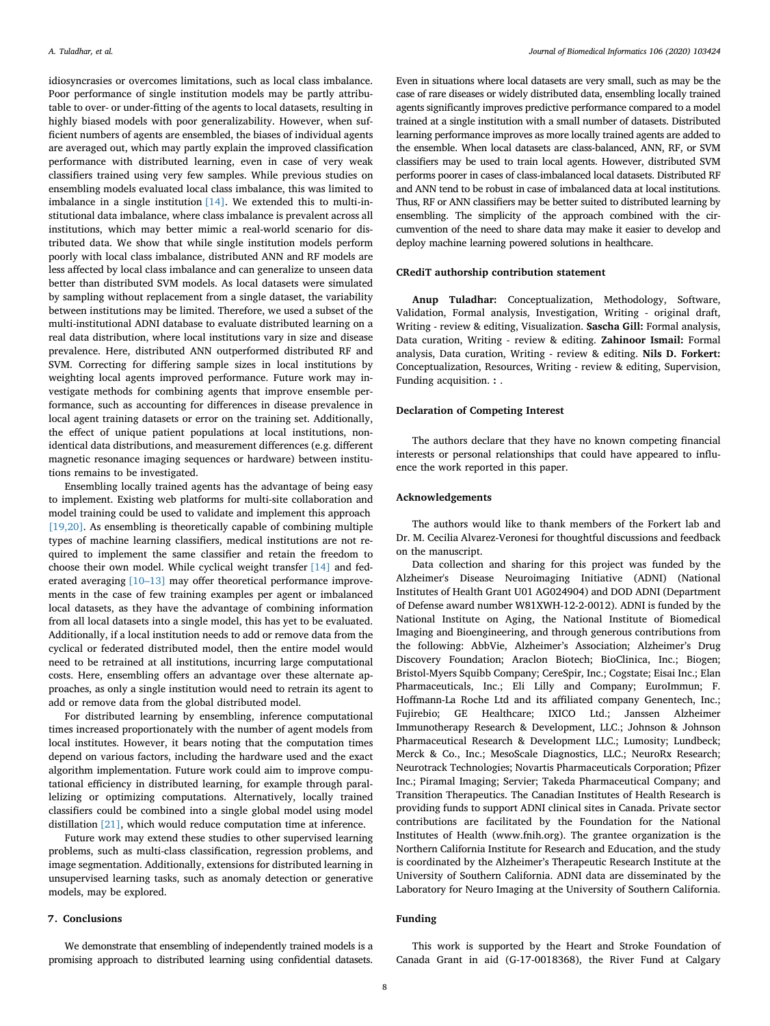idiosyncrasies or overcomes limitations, such as local class imbalance. Poor performance of single institution models may be partly attributable to over- or under-fitting of the agents to local datasets, resulting in highly biased models with poor generalizability. However, when sufficient numbers of agents are ensembled, the biases of individual agents are averaged out, which may partly explain the improved classification performance with distributed learning, even in case of very weak classifiers trained using very few samples. While previous studies on ensembling models evaluated local class imbalance, this was limited to imbalance in a single institution  $[14]$ . We extended this to multi-institutional data imbalance, where class imbalance is prevalent across all institutions, which may better mimic a real-world scenario for distributed data. We show that while single institution models perform poorly with local class imbalance, distributed ANN and RF models are less affected by local class imbalance and can generalize to unseen data better than distributed SVM models. As local datasets were simulated by sampling without replacement from a single dataset, the variability between institutions may be limited. Therefore, we used a subset of the multi-institutional ADNI database to evaluate distributed learning on a real data distribution, where local institutions vary in size and disease prevalence. Here, distributed ANN outperformed distributed RF and SVM. Correcting for differing sample sizes in local institutions by weighting local agents improved performance. Future work may investigate methods for combining agents that improve ensemble performance, such as accounting for differences in disease prevalence in local agent training datasets or error on the training set. Additionally, the effect of unique patient populations at local institutions, nonidentical data distributions, and measurement differences (e.g. different magnetic resonance imaging sequences or hardware) between institutions remains to be investigated.

Ensembling locally trained agents has the advantage of being easy to implement. Existing web platforms for multi-site collaboration and model training could be used to validate and implement this approach [\[19,20\].](#page-8-10) As ensembling is theoretically capable of combining multiple types of machine learning classifiers, medical institutions are not required to implement the same classifier and retain the freedom to choose their own model. While cyclical weight transfer [\[14\]](#page-8-6) and federated averaging [\[10–13\]](#page-8-5) may offer theoretical performance improvements in the case of few training examples per agent or imbalanced local datasets, as they have the advantage of combining information from all local datasets into a single model, this has yet to be evaluated. Additionally, if a local institution needs to add or remove data from the cyclical or federated distributed model, then the entire model would need to be retrained at all institutions, incurring large computational costs. Here, ensembling offers an advantage over these alternate approaches, as only a single institution would need to retrain its agent to add or remove data from the global distributed model.

For distributed learning by ensembling, inference computational times increased proportionately with the number of agent models from local institutes. However, it bears noting that the computation times depend on various factors, including the hardware used and the exact algorithm implementation. Future work could aim to improve computational efficiency in distributed learning, for example through parallelizing or optimizing computations. Alternatively, locally trained classifiers could be combined into a single global model using model distillation [\[21\]](#page-8-11), which would reduce computation time at inference.

Future work may extend these studies to other supervised learning problems, such as multi-class classification, regression problems, and image segmentation. Additionally, extensions for distributed learning in unsupervised learning tasks, such as anomaly detection or generative models, may be explored.

### **7. Conclusions**

We demonstrate that ensembling of independently trained models is a promising approach to distributed learning using confidential datasets.

Even in situations where local datasets are very small, such as may be the case of rare diseases or widely distributed data, ensembling locally trained agents significantly improves predictive performance compared to a model trained at a single institution with a small number of datasets. Distributed learning performance improves as more locally trained agents are added to the ensemble. When local datasets are class-balanced, ANN, RF, or SVM classifiers may be used to train local agents. However, distributed SVM performs poorer in cases of class-imbalanced local datasets. Distributed RF and ANN tend to be robust in case of imbalanced data at local institutions. Thus, RF or ANN classifiers may be better suited to distributed learning by ensembling. The simplicity of the approach combined with the circumvention of the need to share data may make it easier to develop and deploy machine learning powered solutions in healthcare.

### **CRediT authorship contribution statement**

**Anup Tuladhar:** Conceptualization, Methodology, Software, Validation, Formal analysis, Investigation, Writing - original draft, Writing - review & editing, Visualization. **Sascha Gill:** Formal analysis, Data curation, Writing - review & editing. **Zahinoor Ismail:** Formal analysis, Data curation, Writing - review & editing. **Nils D. Forkert:** Conceptualization, Resources, Writing - review & editing, Supervision, Funding acquisition. **:** .

# **Declaration of Competing Interest**

The authors declare that they have no known competing financial interests or personal relationships that could have appeared to influence the work reported in this paper.

### **Acknowledgements**

The authors would like to thank members of the Forkert lab and Dr. M. Cecilia Alvarez-Veronesi for thoughtful discussions and feedback on the manuscript.

Data collection and sharing for this project was funded by the Alzheimer's Disease Neuroimaging Initiative (ADNI) (National Institutes of Health Grant U01 AG024904) and DOD ADNI (Department of Defense award number W81XWH-12-2-0012). ADNI is funded by the National Institute on Aging, the National Institute of Biomedical Imaging and Bioengineering, and through generous contributions from the following: AbbVie, Alzheimer's Association; Alzheimer's Drug Discovery Foundation; Araclon Biotech; BioClinica, Inc.; Biogen; Bristol-Myers Squibb Company; CereSpir, Inc.; Cogstate; Eisai Inc.; Elan Pharmaceuticals, Inc.; Eli Lilly and Company; EuroImmun; F. Hoffmann-La Roche Ltd and its affiliated company Genentech, Inc.; Fujirebio; GE Healthcare; IXICO Ltd.; Janssen Alzheimer Immunotherapy Research & Development, LLC.; Johnson & Johnson Pharmaceutical Research & Development LLC.; Lumosity; Lundbeck; Merck & Co., Inc.; MesoScale Diagnostics, LLC.; NeuroRx Research; Neurotrack Technologies; Novartis Pharmaceuticals Corporation; Pfizer Inc.; Piramal Imaging; Servier; Takeda Pharmaceutical Company; and Transition Therapeutics. The Canadian Institutes of Health Research is providing funds to support ADNI clinical sites in Canada. Private sector contributions are facilitated by the Foundation for the National Institutes of Health (www.fnih.org). The grantee organization is the Northern California Institute for Research and Education, and the study is coordinated by the Alzheimer's Therapeutic Research Institute at the University of Southern California. ADNI data are disseminated by the Laboratory for Neuro Imaging at the University of Southern California.

### **Funding**

This work is supported by the Heart and Stroke Foundation of Canada Grant in aid (G-17-0018368), the River Fund at Calgary